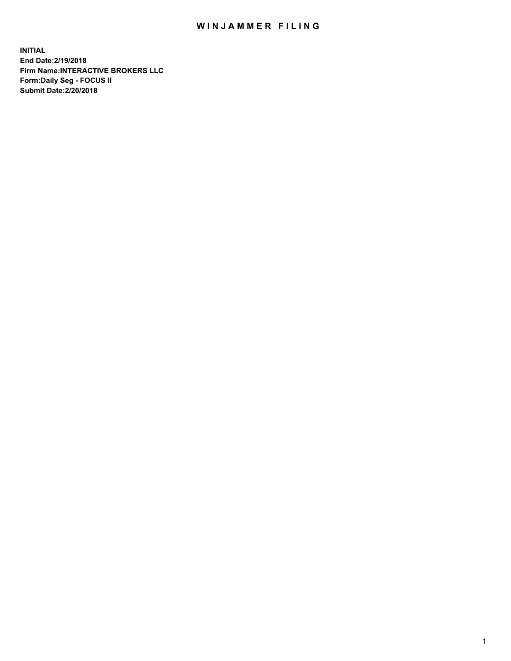## WIN JAMMER FILING

**INITIAL End Date:2/19/2018 Firm Name:INTERACTIVE BROKERS LLC Form:Daily Seg - FOCUS II Submit Date:2/20/2018**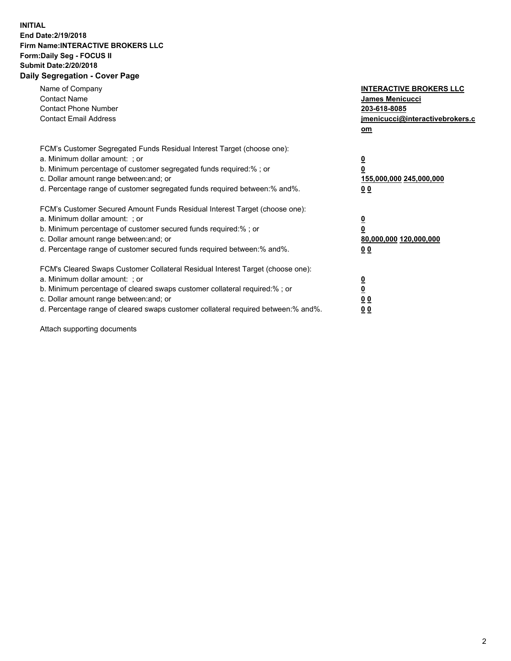## **INITIAL End Date:2/19/2018 Firm Name:INTERACTIVE BROKERS LLC Form:Daily Seg - FOCUS II Submit Date:2/20/2018 Daily Segregation - Cover Page**

| Name of Company<br><b>Contact Name</b><br><b>Contact Phone Number</b>                                                                                                                                                                                                                                                          | <b>INTERACTIVE BROKERS LLC</b><br><b>James Menicucci</b><br>203-618-8085                        |
|--------------------------------------------------------------------------------------------------------------------------------------------------------------------------------------------------------------------------------------------------------------------------------------------------------------------------------|-------------------------------------------------------------------------------------------------|
| <b>Contact Email Address</b>                                                                                                                                                                                                                                                                                                   | jmenicucci@interactivebrokers.c<br>om                                                           |
| FCM's Customer Segregated Funds Residual Interest Target (choose one):<br>a. Minimum dollar amount: ; or<br>b. Minimum percentage of customer segregated funds required:% ; or<br>c. Dollar amount range between: and; or<br>d. Percentage range of customer segregated funds required between:% and%.                         | $\overline{\mathbf{0}}$<br>$\overline{\mathbf{0}}$<br>155,000,000 245,000,000<br>0 <sub>0</sub> |
| FCM's Customer Secured Amount Funds Residual Interest Target (choose one):<br>a. Minimum dollar amount: ; or<br>b. Minimum percentage of customer secured funds required:%; or<br>c. Dollar amount range between: and; or<br>d. Percentage range of customer secured funds required between: % and %.                          | $\overline{\mathbf{0}}$<br>$\overline{\mathbf{0}}$<br>80,000,000 120,000,000<br>0 <sub>0</sub>  |
| FCM's Cleared Swaps Customer Collateral Residual Interest Target (choose one):<br>a. Minimum dollar amount: ; or<br>b. Minimum percentage of cleared swaps customer collateral required:% ; or<br>c. Dollar amount range between: and; or<br>d. Percentage range of cleared swaps customer collateral required between:% and%. | $\overline{\mathbf{0}}$<br>$\underline{\mathbf{0}}$<br>0 <sub>0</sub><br>0 <sup>0</sup>         |

Attach supporting documents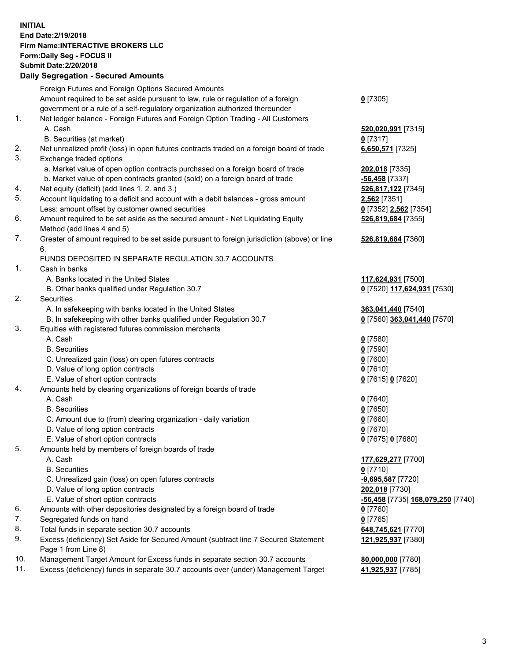## **INITIAL End Date:2/19/2018 Firm Name:INTERACTIVE BROKERS LLC Form:Daily Seg - FOCUS II Submit Date:2/20/2018 Daily Segregation - Secured Amounts**

|                | Daily Jegregation - Jeculed Aniounts                                                        |                                   |
|----------------|---------------------------------------------------------------------------------------------|-----------------------------------|
|                | Foreign Futures and Foreign Options Secured Amounts                                         |                                   |
|                | Amount required to be set aside pursuant to law, rule or regulation of a foreign            | $0$ [7305]                        |
|                | government or a rule of a self-regulatory organization authorized thereunder                |                                   |
| 1.             | Net ledger balance - Foreign Futures and Foreign Option Trading - All Customers             |                                   |
|                | A. Cash                                                                                     | 520,020,991 [7315]                |
|                | B. Securities (at market)                                                                   | $0$ [7317]                        |
| 2.             | Net unrealized profit (loss) in open futures contracts traded on a foreign board of trade   | 6,650,571 [7325]                  |
| 3.             | Exchange traded options                                                                     |                                   |
|                | a. Market value of open option contracts purchased on a foreign board of trade              | 202,018 [7335]                    |
|                | b. Market value of open contracts granted (sold) on a foreign board of trade                | -56,458 <sup>[7337]</sup>         |
| 4.             | Net equity (deficit) (add lines 1.2. and 3.)                                                | 526,817,122 [7345]                |
| 5.             | Account liquidating to a deficit and account with a debit balances - gross amount           | 2,562 [7351]                      |
|                | Less: amount offset by customer owned securities                                            | 0 [7352] 2,562 [7354]             |
| 6.             | Amount required to be set aside as the secured amount - Net Liquidating Equity              | 526,819,684 [7355]                |
|                | Method (add lines 4 and 5)                                                                  |                                   |
| 7.             | Greater of amount required to be set aside pursuant to foreign jurisdiction (above) or line | 526,819,684 [7360]                |
|                | 6.                                                                                          |                                   |
|                | FUNDS DEPOSITED IN SEPARATE REGULATION 30.7 ACCOUNTS                                        |                                   |
| 1 <sub>1</sub> | Cash in banks                                                                               |                                   |
|                | A. Banks located in the United States                                                       | 117,624,931 [7500]                |
|                | B. Other banks qualified under Regulation 30.7                                              | 0 [7520] 117,624,931 [7530]       |
| 2.             | Securities                                                                                  |                                   |
|                | A. In safekeeping with banks located in the United States                                   | 363,041,440 [7540]                |
|                | B. In safekeeping with other banks qualified under Regulation 30.7                          | 0 [7560] 363,041,440 [7570]       |
| 3.             | Equities with registered futures commission merchants                                       |                                   |
|                | A. Cash                                                                                     | $0$ [7580]                        |
|                | <b>B.</b> Securities                                                                        | $0$ [7590]                        |
|                | C. Unrealized gain (loss) on open futures contracts                                         | $0$ [7600]                        |
|                | D. Value of long option contracts                                                           | $0$ [7610]                        |
|                | E. Value of short option contracts                                                          | 0 [7615] 0 [7620]                 |
| 4.             | Amounts held by clearing organizations of foreign boards of trade                           |                                   |
|                | A. Cash                                                                                     | $0$ [7640]                        |
|                | <b>B.</b> Securities                                                                        | $0$ [7650]                        |
|                | C. Amount due to (from) clearing organization - daily variation                             | $0$ [7660]                        |
|                | D. Value of long option contracts                                                           | $0$ [7670]                        |
|                | E. Value of short option contracts                                                          | 0 [7675] 0 [7680]                 |
| 5.             | Amounts held by members of foreign boards of trade                                          |                                   |
|                | A. Cash                                                                                     | 177,629,277 [7700]                |
|                | <b>B.</b> Securities                                                                        | $0$ [7710]                        |
|                | C. Unrealized gain (loss) on open futures contracts                                         | $-9,695,587$ [7720]               |
|                | D. Value of long option contracts                                                           | 202,018 [7730]                    |
|                | E. Value of short option contracts                                                          | -56,458 [7735] 168,079,250 [7740] |
| 6.             | Amounts with other depositories designated by a foreign board of trade                      | $0$ [7760]                        |
| 7.             | Segregated funds on hand                                                                    | $0$ [7765]                        |
| 8.             | Total funds in separate section 30.7 accounts                                               | 648,745,621 [7770]                |
| 9.             | Excess (deficiency) Set Aside for Secured Amount (subtract line 7 Secured Statement         | 121,925,937 [7380]                |
|                | Page 1 from Line 8)                                                                         |                                   |
| 10.            | Management Target Amount for Excess funds in separate section 30.7 accounts                 | 80,000,000 [7780]                 |
| 11.            | Excess (deficiency) funds in separate 30.7 accounts over (under) Management Target          | 41,925,937 [7785]                 |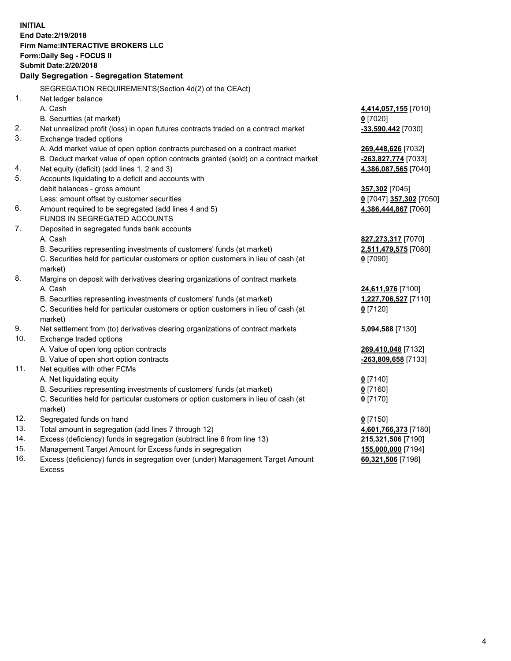**INITIAL End Date:2/19/2018 Firm Name:INTERACTIVE BROKERS LLC Form:Daily Seg - FOCUS II Submit Date:2/20/2018 Daily Segregation - Segregation Statement** SEGREGATION REQUIREMENTS(Section 4d(2) of the CEAct) 1. Net ledger balance A. Cash **4,414,057,155** [7010] B. Securities (at market) **0** [7020] 2. Net unrealized profit (loss) in open futures contracts traded on a contract market **-33,590,442** [7030] 3. Exchange traded options A. Add market value of open option contracts purchased on a contract market **269,448,626** [7032] B. Deduct market value of open option contracts granted (sold) on a contract market **-263,827,774** [7033] 4. Net equity (deficit) (add lines 1, 2 and 3) **4,386,087,565** [7040] 5. Accounts liquidating to a deficit and accounts with debit balances - gross amount **357,302** [7045] Less: amount offset by customer securities **0** [7047] **357,302** [7050] 6. Amount required to be segregated (add lines 4 and 5) **4,386,444,867** [7060] FUNDS IN SEGREGATED ACCOUNTS 7. Deposited in segregated funds bank accounts A. Cash **827,273,317** [7070] B. Securities representing investments of customers' funds (at market) **2,511,479,575** [7080] C. Securities held for particular customers or option customers in lieu of cash (at market) **0** [7090] 8. Margins on deposit with derivatives clearing organizations of contract markets A. Cash **24,611,976** [7100] B. Securities representing investments of customers' funds (at market) **1,227,706,527** [7110] C. Securities held for particular customers or option customers in lieu of cash (at market) **0** [7120] 9. Net settlement from (to) derivatives clearing organizations of contract markets **5,094,588** [7130] 10. Exchange traded options A. Value of open long option contracts **269,410,048** [7132] B. Value of open short option contracts **-263,809,658** [7133] 11. Net equities with other FCMs A. Net liquidating equity **0** [7140] B. Securities representing investments of customers' funds (at market) **0** [7160] C. Securities held for particular customers or option customers in lieu of cash (at market) **0** [7170] 12. Segregated funds on hand **0** [7150] 13. Total amount in segregation (add lines 7 through 12) **4,601,766,373** [7180] 14. Excess (deficiency) funds in segregation (subtract line 6 from line 13) **215,321,506** [7190] 15. Management Target Amount for Excess funds in segregation **155,000,000** [7194]

16. Excess (deficiency) funds in segregation over (under) Management Target Amount Excess

**60,321,506** [7198]